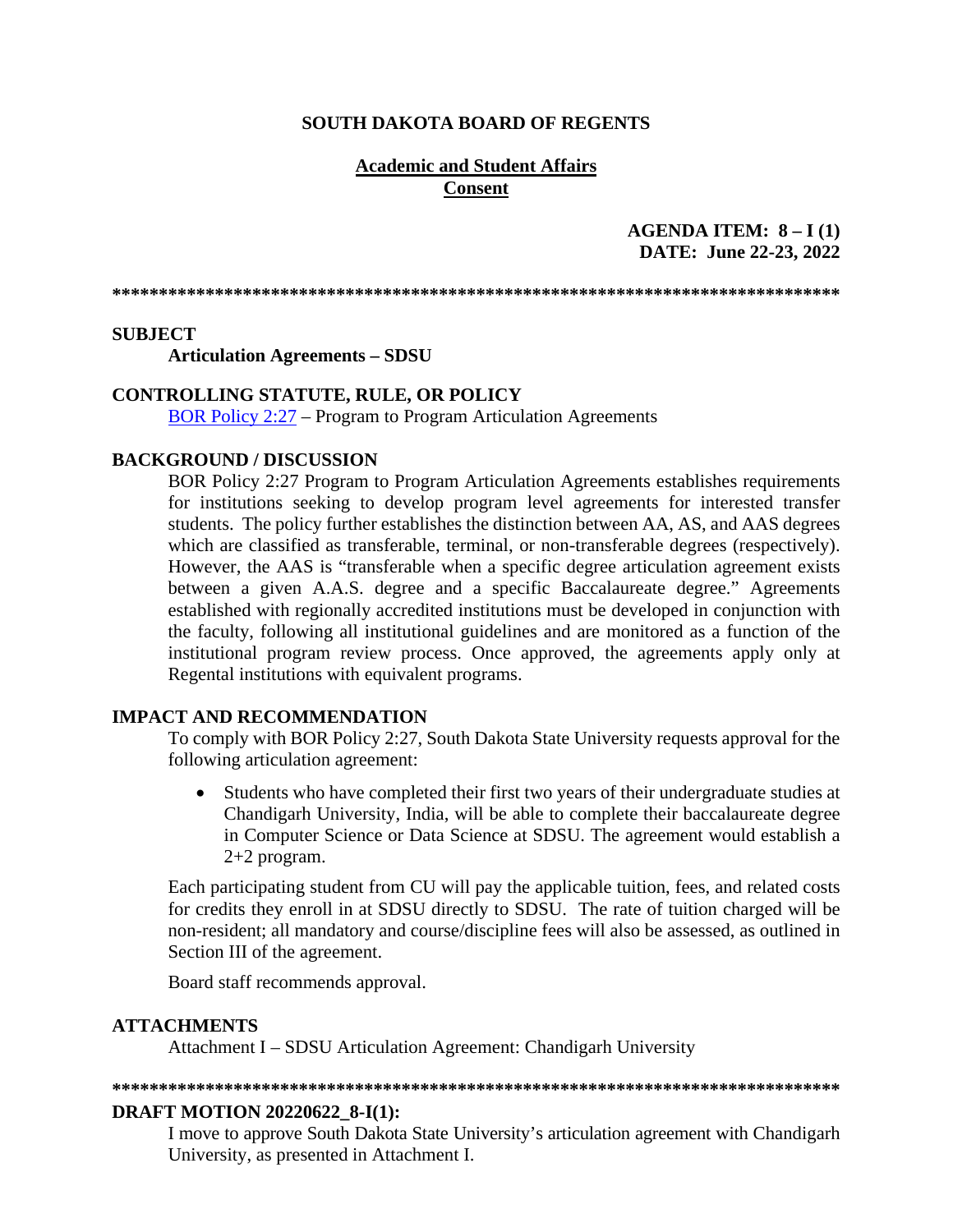# **SOUTH DAKOTA BOARD OF REGENTS**

# **Academic and Student Affairs Consent**

# AGENDA ITEM:  $8 - I(1)$ DATE: June 22-23, 2022

### **SUBJECT**

**Articulation Agreements - SDSU** 

# **CONTROLLING STATUTE, RULE, OR POLICY**

**BOR Policy 2:27 – Program to Program Articulation Agreements** 

### **BACKGROUND / DISCUSSION**

BOR Policy 2:27 Program to Program Articulation Agreements establishes requirements for institutions seeking to develop program level agreements for interested transfer students. The policy further establishes the distinction between AA, AS, and AAS degrees which are classified as transferable, terminal, or non-transferable degrees (respectively). However, the AAS is "transferable when a specific degree articulation agreement exists between a given A.A.S. degree and a specific Baccalaureate degree." Agreements established with regionally accredited institutions must be developed in conjunction with the faculty, following all institutional guidelines and are monitored as a function of the institutional program review process. Once approved, the agreements apply only at Regental institutions with equivalent programs.

### **IMPACT AND RECOMMENDATION**

To comply with BOR Policy 2:27, South Dakota State University requests approval for the following articulation agreement:

 $\bullet$ Students who have completed their first two years of their undergraduate studies at Chandigarh University, India, will be able to complete their baccalaureate degree in Computer Science or Data Science at SDSU. The agreement would establish a  $2+2$  program.

Each participating student from CU will pay the applicable tuition, fees, and related costs for credits they enroll in at SDSU directly to SDSU. The rate of tuition charged will be non-resident; all mandatory and course/discipline fees will also be assessed, as outlined in Section III of the agreement.

Board staff recommends approval.

### **ATTACHMENTS**

Attachment I - SDSU Articulation Agreement: Chandigarh University

#### 

#### **DRAFT MOTION 20220622 8-I(1):**

I move to approve South Dakota State University's articulation agreement with Chandigarh University, as presented in Attachment I.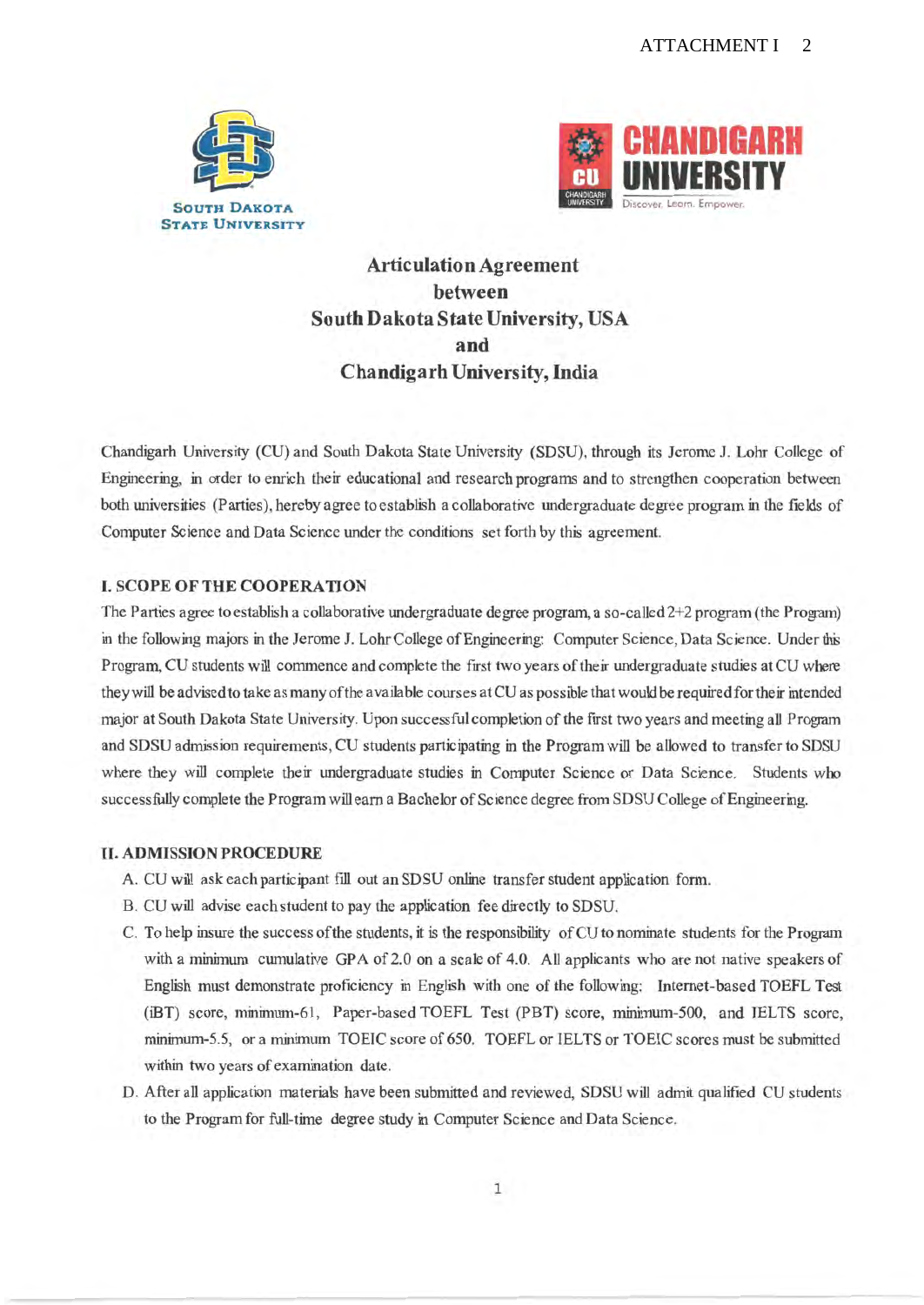



**Articulation Agreement** between South Dakota State University, USA and **Chandigarh University, India** 

Chandigarh University (CU) and South Dakota State University (SDSU), through its Jerome J. Lohr College of Engineering, in order to enrich their educational and research programs and to strengthen cooperation between both universities (Parties), hereby agree to establish a collaborative undergraduate degree program in the fields of Computer Science and Data Science under the conditions set forth by this agreement.

### **L. SCOPE OF THE COOPERATION**

The Parties agree to establish a collaborative undergraduate degree program, a so-called 2+2 program (the Program) in the following majors in the Jerome J. Lohr College of Engineering: Computer Science, Data Science. Under this Program, CU students will commence and complete the first two years of their undergraduate studies at CU where they will be advised to take as many of the available courses at CU as possible that would be required for their intended major at South Dakota State University. Upon successful completion of the first two years and meeting all Program and SDSU admission requirements, CU students participating in the Program will be allowed to transfer to SDSU where they will complete their undergraduate studies in Computer Science or Data Science. Students who successfully complete the Program will earn a Bachelor of Science degree from SDSU College of Engineering.

# **II. ADMISSION PROCEDURE**

- A. CU will ask each participant fill out an SDSU online transfer student application form.
- B. CU will advise each student to pay the application fee directly to SDSU.
- C. To help insure the success of the students, it is the responsibility of CU to nominate students for the Program with a minimum cumulative GPA of 2.0 on a scale of 4.0. All applicants who are not native speakers of English must demonstrate proficiency in English with one of the following: Internet-based TOEFL Test (iBT) score, minimum-61, Paper-based TOEFL Test (PBT) score, minimum-500, and IELTS score, minimum-5.5, or a minimum TOEIC score of 650. TOEFL or IELTS or TOEIC scores must be submitted within two years of examination date.
- D. After all application materials have been submitted and reviewed, SDSU will admit qualified CU students to the Program for full-time degree study in Computer Science and Data Science.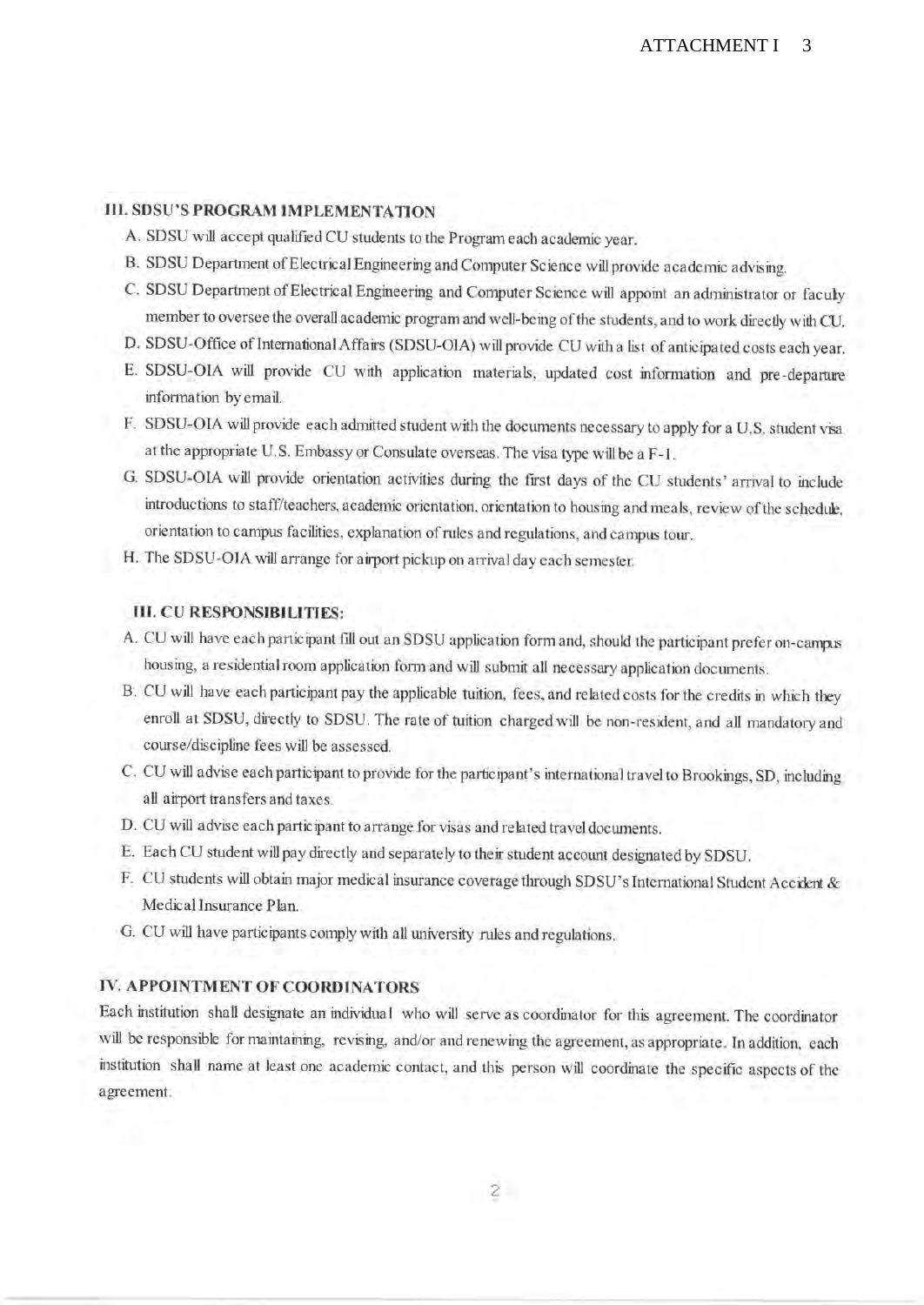# **III. SDSU'S PROGRAM IMPLEMENTATION**

- A. SDSU will accept qualified CU students to the Program each academic year.
- B. SDSU Department of Electrical Engineering and Computer Science will provide academic advising.
- C. SDSU Department of Electrical Engineering and Computer Science will appoint an administrator or faculy member to oversee the overall academic program and well-being of the students, and to work directly with CU.
- D. SDSU-Office of International Affairs (SDSU-OIA) will provide CU with a list of anticipated costs each year.
- E. SDSU-OIA will provide CU with application materials, updated cost information and pre-departure information by email.
- F. SDSU-OIA will provide each admitted student with the documents necessary to apply for a U.S. student visa at the appropriate U.S. Embassy or Consulate overseas. The visa type will be a F-1.
- G. SDSU-OIA will provide orientation activities during the first days of the CU students' arrival to include introductions to staff/teachers, academic orientation, orientation to housing and meals, review of the schedule, orientation to campus facilities, explanation of rules and regulations, and campus tour.
- H. The SDSU-OIA will arrange for airport pickup on arrival day each semester.

# **III. CU RESPONSIBILITIES:**

- A. CU will have each participant fill out an SDSU application form and, should the participant prefer on-campas housing, a residential room application form and will submit all necessary application documents.
- B. CU will have each participant pay the applicable tuition, fees, and related costs for the credits in which they enroll at SDSU, directly to SDSU. The rate of tuition charged will be non-resident, and all mandatory and course/discipline fees will be assessed.
- C. CU will advise each participant to provide for the participant's international travel to Brookings, SD, including all airport transfers and taxes.
- D. CU will advise each participant to arrange for visas and related travel documents.
- E. Each CU student will pay directly and separately to their student account designated by SDSU.
- F. CU students will obtain major medical insurance coverage through SDSU's International Student Accident & Medical Insurance Plan.
- G. CU will have participants comply with all university rules and regulations.

# IV. APPOINTMENT OF COORDINATORS

Each institution shall designate an individual who will serve as coordinator for this agreement. The coordinator will be responsible for maintaining, revising, and/or and renewing the agreement, as appropriate. In addition, each institution shall name at least one academic contact, and this person will coordinate the specific aspects of the agreement.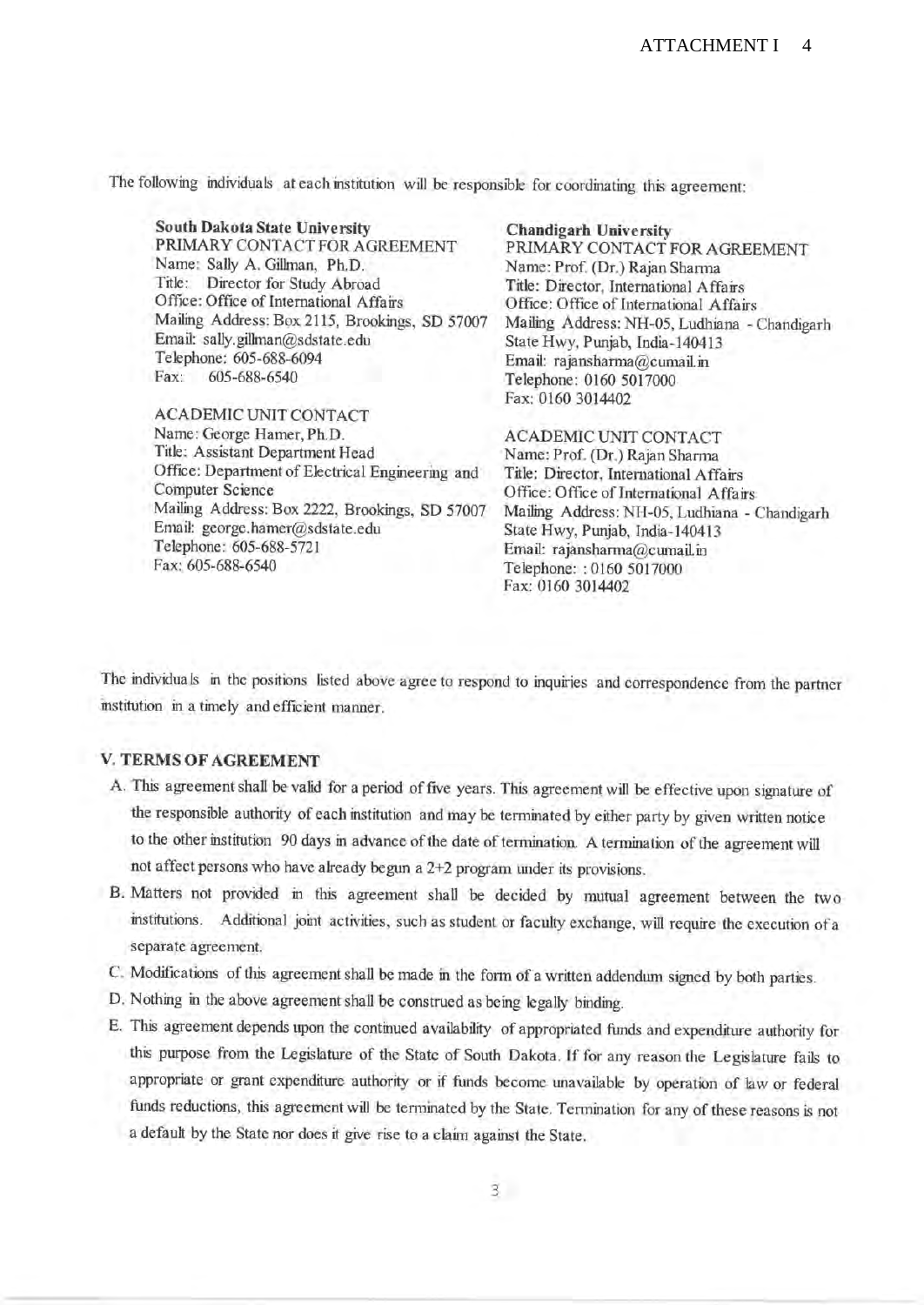The following individuals at each institution will be responsible for coordinating this agreement:

South Dakota State University PRIMARY CONTACT FOR AGREEMENT Name: Sally A. Gillman, Ph.D. Title: Director for Study Abroad Office: Office of International Affairs Mailing Address: Box 2115, Brookings, SD 57007 Email: sally.gillman@sdstate.edu Telephone: 605-688-6094 Fax: 605-688-6540 **ACADEMIC UNIT CONTACT** 

Name: George Hamer, Ph.D. Title: Assistant Department Head Office: Department of Electrical Engineering and **Computer Science** Mailing Address: Box 2222, Brookings, SD 57007 Email: george.hamer@sdstate.edu Telephone: 605-688-5721 Fax: 605-688-6540

**Chandigarh University** PRIMARY CONTACT FOR AGREEMENT Name: Prof. (Dr.) Rajan Sharma Title: Director, International Affairs Office: Office of International Affairs Mailing Address: NH-05, Ludhiana - Chandigarh State Hwy, Punjab, India-140413 Email: rajansharma@cumail.in Telephone: 0160 5017000 Fax: 0160 3014402

**ACADEMIC UNIT CONTACT** Name: Prof. (Dr.) Rajan Sharma Title: Director, International Affairs Office: Office of International Affairs Mailing Address: NH-05, Ludhiana - Chandigarh State Hwy, Punjab, India-140413 Email: rajansharma@cumail.in Telephone:: 0160 5017000 Fax: 0160 3014402

The individuals in the positions listed above agree to respond to inquiries and correspondence from the partner institution in a timely and efficient manner.

# **V. TERMS OF AGREEMENT**

- A. This agreement shall be valid for a period of five years. This agreement will be effective upon signature of the responsible authority of each institution and may be terminated by either party by given written notice to the other institution 90 days in advance of the date of termination. A termination of the agreement will not affect persons who have already begun a 2+2 program under its provisions.
- B. Matters not provided in this agreement shall be decided by mutual agreement between the two institutions. Additional joint activities, such as student or faculty exchange, will require the execution of a separate agreement.
- C. Modifications of this agreement shall be made in the form of a written addendum signed by both parties.
- D. Nothing in the above agreement shall be construed as being legally binding.
- E. This agreement depends upon the continued availability of appropriated funds and expenditure authority for this purpose from the Legislature of the State of South Dakota. If for any reason the Legislature fails to appropriate or grant expenditure authority or if funds become unavailable by operation of law or federal funds reductions, this agreement will be terminated by the State. Termination for any of these reasons is not a default by the State nor does it give rise to a claim against the State.